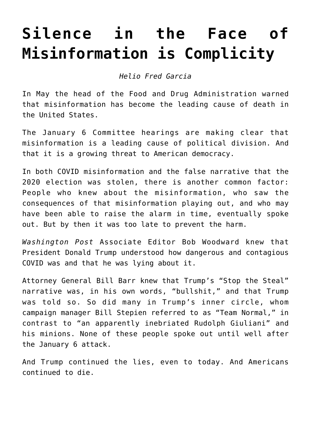## **[Silence in the Face of](https://www.commpro.biz/silence-in-the-face-of-misinformation-is-complicity/) [Misinformation is Complicity](https://www.commpro.biz/silence-in-the-face-of-misinformation-is-complicity/)**

*[Helio Fred Garcia](https://www.logosconsulting.net/ourpeople/helio-fred-garcia/)*

In May the head of the Food and Drug Administration [warned](https://www.cnn.com/videos/health/2022/05/07/fda-robert-califf-intv-misinformation-death-sot-vpx.cnn) that misinformation has become the leading cause of death in the United States.

The January 6 Committee hearings are making clear that misinformation is a leading cause of political division. And that it is a growing threat to American democracy.

In both COVID misinformation and the false narrative that the 2020 election was stolen, there is another common factor: People who knew about the misinformation, who saw the consequences of that misinformation playing out, and who may have been able to raise the alarm in time, eventually spoke out. But by then it was too late to prevent the harm.

*Washington Post* Associate Editor Bob Woodward knew that President Donald Trump understood how dangerous and contagious COVID was and that he was lying about it.

Attorney General Bill Barr knew that Trump's "Stop the Steal" narrative was, in his own words, "bullshit," and that Trump was told so. So did many in Trump's inner circle, whom campaign manager Bill Stepien referred to as "Team Normal," in contrast to "an apparently inebriated Rudolph Giuliani" and his minions. None of these people spoke out until well after the January 6 attack.

And Trump continued the lies, even to today. And Americans continued to die.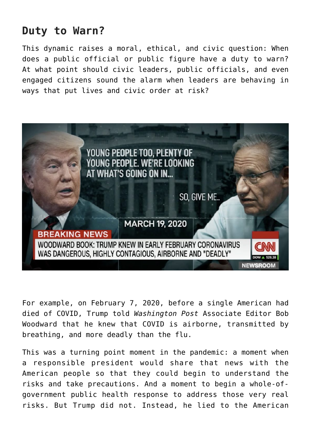## **Duty to Warn?**

This dynamic raises a moral, ethical, and civic question: When does a public official or public figure have a duty to warn? At what point should civic leaders, public officials, and even engaged citizens sound the alarm when leaders are behaving in ways that put lives and civic order at risk?



For example, on February 7, 2020, before a single American had died of COVID, Trump told *Washington Post* Associate Editor Bob Woodward that he knew that COVID is airborne, transmitted by breathing, and more deadly than the flu.

This was a turning point moment in the pandemic: a moment when a responsible president would share that news with the American people so that they could begin to understand the risks and take precautions. And a moment to begin a whole-ofgovernment public health response to address those very real risks. But Trump did not. Instead, he [lied](https://www.youtube.com/watch?v=TgZAazfHo7k) to the American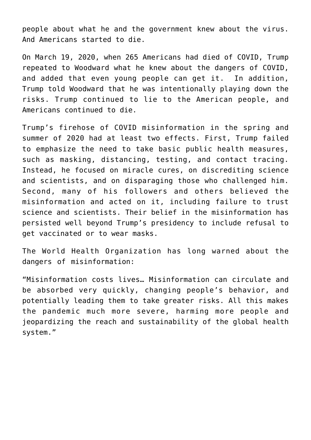people about what he and the government knew about the virus. And Americans started to die.

On March 19, 2020, when 265 Americans had died of [COVID](https://www.commpro.biz/what-the-pandemic-teaches-about-crisis-management-and-leadership/), Trump repeated to Woodward what he knew about the dangers of COVID, and added that even young people can get it. In addition, Trump told Woodward that he was intentionally playing down the risks. Trump continued to lie to the American people, and Americans continued to die.

Trump's firehose of COVID misinformation in the spring and summer of 2020 had at least two effects. First, Trump failed to emphasize the need to take basic public health measures, such as masking, distancing, testing, and contact tracing. Instead, he focused on miracle cures, on discrediting science and scientists, and on disparaging those who challenged him. Second, many of his followers and others believed the misinformation and acted on it, including failure to trust science and scientists. Their belief in the misinformation has persisted well beyond Trump's presidency to include refusal to get vaccinated or to wear masks.

The World Health Organization has long [warned](https://www.who.int/news/item/23-09-2020-managing-the-covid-19-infodemic-promoting-healthy-behaviours-and-mitigating-the-harm-from-misinformation-and-disinformation) about the dangers of misinformation:

"Misinformation costs lives… Misinformation can circulate and be absorbed very quickly, changing people's behavior, and potentially leading them to take greater risks. All this makes the pandemic much more severe, harming more people and jeopardizing the reach and sustainability of the global health system."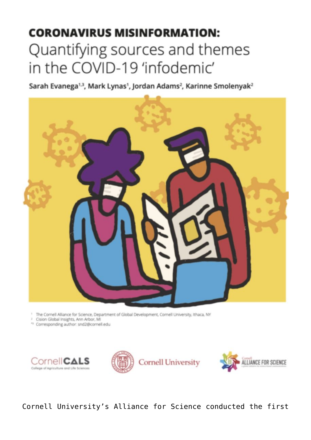## **CORONAVIRUS MISINFORMATION:** Quantifying sources and themes in the COVID-19 'infodemic'

Sarah Evanega<sup>1,3</sup>, Mark Lynas<sup>1</sup>, Jordan Adams<sup>2</sup>, Karinne Smolenyak<sup>2</sup>



<sup>1</sup> The Cornell Alliance for Science, Department of Global Development, Cornell University, Ithaca, NY

<sup>1</sup> Cision Global Insights, Ann Arbor, MI

<sup>43</sup> Corresponding author: snd2@cornell.edu







Cornell University's Alliance for Science conducted the first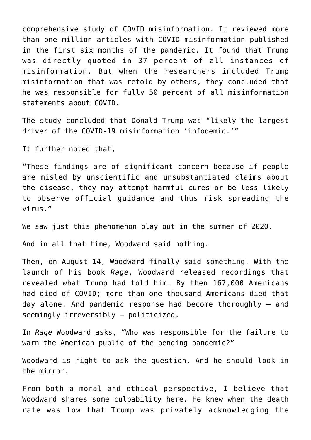[comprehensive study](https://allianceforscience.cornell.edu/wp-content/uploads/2020/09/Evanega-et-al-Coronavirus-misinformationFINAL.pdf) of COVID misinformation. It reviewed more than one million articles with COVID misinformation published in the first six months of the pandemic. It found that Trump was directly quoted in 37 percent of all instances of misinformation. But when the researchers included Trump misinformation that was retold by others, they concluded that he was responsible for fully 50 percent of all misinformation statements about COVID.

The study [concluded](https://allianceforscience.cornell.edu/wp-content/uploads/2020/09/Evanega-et-al-Coronavirus-misinformationFINAL.pdf.) that Donald Trump was "likely the largest driver of the COVID-19 misinformation 'infodemic.'"

It further [noted](https://allianceforscience.cornell.edu/wp-content/uploads/2020/09/Evanega-et-al-Coronavirus-misinformationFINAL.pdf.) that,

"These findings are of significant concern because if people are misled by unscientific and unsubstantiated claims about the disease, they may attempt harmful cures or be less likely to observe official guidance and thus risk spreading the virus."

We saw just this phenomenon play out in the summer of 2020.

And in all that time, Woodward said nothing.

Then, on August 14, Woodward finally said something. With the launch of his book *[Rage](https://www.amazon.com/Rage-Bob-Woodward/dp/198213173X/)*, Woodward released recordings that revealed what Trump had told him. By then 167,000 Americans had died of COVID; more than one thousand Americans died that day alone. And pandemic response had become thoroughly – and seemingly irreversibly – politicized.

In *Rage* Woodward [asks](https://www.commpro.biz/about:blank), "Who was responsible for the failure to warn the American public of the pending pandemic?"

Woodward is right to ask the question. And he should look in the mirror.

From both a moral and ethical perspective, I believe that Woodward shares some culpability here. He knew when the death rate was low that Trump was privately acknowledging the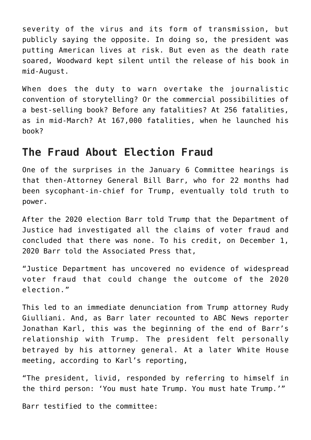severity of the virus and its form of transmission, but publicly saying the opposite. In doing so, the president was putting American lives at risk. But even as the death rate soared, Woodward kept silent until the release of his book in mid-August.

When does the duty to warn overtake the journalistic convention of storytelling? Or the commercial possibilities of a best-selling book? Before any fatalities? At 256 fatalities, as in mid-March? At 167,000 fatalities, when he launched his book?

## **The Fraud About Election Fraud**

One of the surprises in the January 6 Committee hearings is that then-Attorney General Bill Barr, who for 22 months had been sycophant-in-chief for Trump, eventually told truth to power.

After the 2020 election Barr told Trump that the Department of Justice had investigated all the claims of voter fraud and concluded that there was none. To his credit, on December 1, 2020 Barr told the [Associated Press](https://apnews.com/article/barr-no-widespread-election-fraud-b1f1488796c9a98c4b1a9061a6c7f49d) that,

"Justice Department has uncovered no evidence of widespread voter fraud that could change the outcome of the 2020 election."

This led to an immediate denunciation from Trump attorney Rudy Giulliani. And, as Barr later [recounted](https://www.theatlantic.com/politics/archive/2021/06/william-barrs-trump-administration-attorney-general/619298/) to ABC News reporter Jonathan Karl, this was the beginning of the end of Barr's relationship with Trump. The president felt personally betrayed by his attorney general. At a later White House meeting, according to Karl's reporting,

"The president, livid, responded by referring to himself in the third person: 'You must hate Trump. You must hate Trump.'"

Barr [testified](https://www.npr.org/2022/06/13/1104690690/heres-every-word-of-the-second-jan-6-committee-hearing-on-its-investigation) to the committee: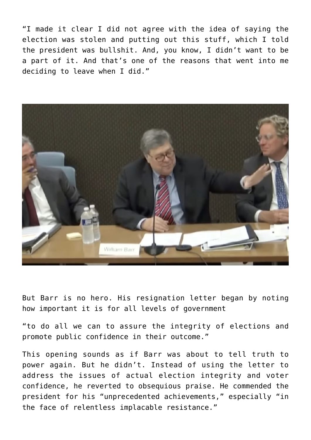"I made it clear I did not agree with the idea of saying the election was stolen and putting out this stuff, which I told the president was bullshit. And, you know, I didn't want to be a part of it. And that's one of the reasons that went into me deciding to leave when I did."



But Barr is no hero. His resignation [letter](https://s3.documentcloud.org/documents/20424018/attorney-general-william-barr-resignation-letter.pdf) began by noting how important it is for all levels of government

"to do all we can to assure the integrity of elections and promote public confidence in their outcome."

This opening sounds as if Barr was about to tell truth to power again. But he didn't. Instead of using the letter to address the issues of actual election integrity and voter confidence, he reverted to obsequious praise. He commended the president for his "unprecedented achievements," especially "in the face of relentless implacable resistance."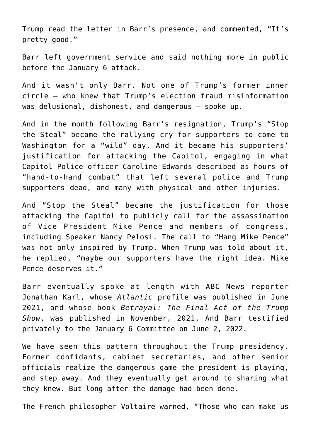Trump read the letter in Barr's presence, and commented, "It's pretty good."

Barr left government service and said nothing more in public before the January 6 attack.

And it wasn't only Barr. Not one of Trump's former inner circle – who knew that Trump's election fraud misinformation was delusional, dishonest, and dangerous – spoke up.

And in the month following Barr's resignation, Trump's "Stop the Steal" became the rallying cry for supporters to come to Washington for a "wild" day. And it became his supporters' justification for attacking the Capitol, engaging in what Capitol Police officer Caroline Edwards [described](https://apnews.com/article/capitol-siege-government-and-politics-riots-d690e70ac850d8652b82c0c3e2fba5bf) as hours of "hand-to-hand combat" that left several police and Trump supporters dead, and many with physical and other injuries.

And "Stop the Steal" became the justification for those attacking the Capitol to publicly call for the assassination of Vice President Mike Pence and members of congress, including Speaker Nancy Pelosi. The call to "Hang Mike Pence" was not only inspired by Trump. When Trump was told about it, he [replied,](https://www.npr.org/2022/06/10/1104156949/jan-6-committee-hearing-transcript) "maybe our supporters have the right idea. Mike Pence deserves it."

Barr eventually spoke at length with ABC News reporter Jonathan Karl, whose *[Atlantic](https://www.theatlantic.com/politics/archive/2021/06/william-barrs-trump-administration-attorney-general/619298/)* profile was published in June 2021, and whose [book](https://www.amazon.com/Betrayal-Final-Act-Trump-Show/dp/059318632X) *Betrayal: The Final Act of the Trump Show*, was published in November, 2021. And Barr testified privately to the January 6 Committee on June 2, 2022.

We have seen this pattern throughout the Trump presidency. Former confidants, cabinet secretaries, and other senior officials realize the dangerous game the president is playing, and step away. And they eventually get around to sharing what they knew. But long after the damage had been done.

The French philosopher Voltaire warned, "Those who can make us